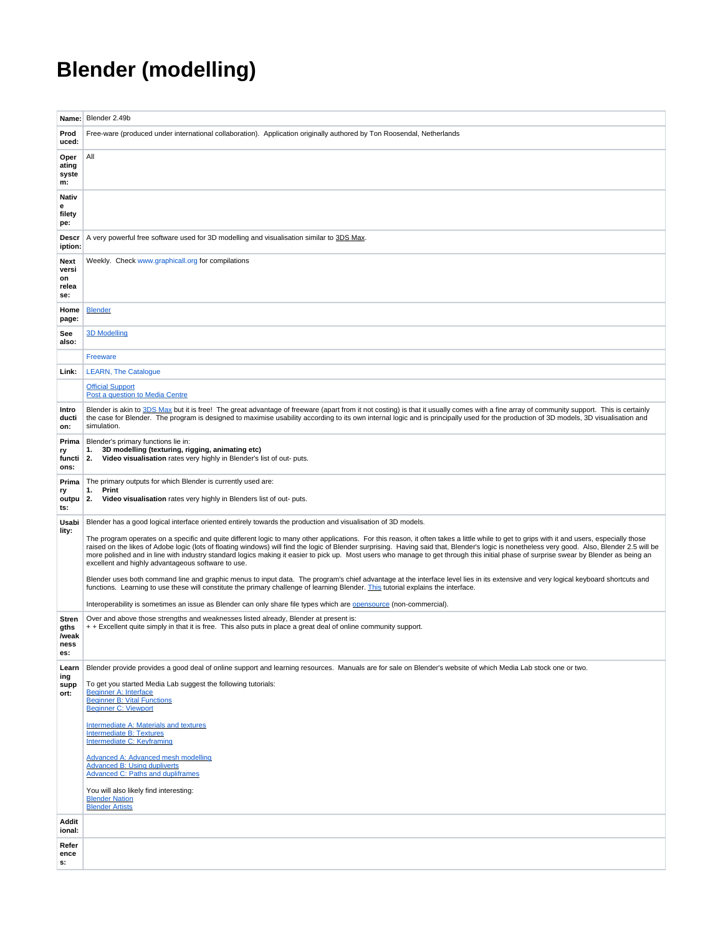## **Blender (modelling)**

| Name:                                 | Blender 2.49b                                                                                                                                                                                                                                                                                                                                                                                                                                                                                                                                                                                                                                                                                                                                                                                                                                                                                                                                                                                                                                                                                                                                                                                                  |
|---------------------------------------|----------------------------------------------------------------------------------------------------------------------------------------------------------------------------------------------------------------------------------------------------------------------------------------------------------------------------------------------------------------------------------------------------------------------------------------------------------------------------------------------------------------------------------------------------------------------------------------------------------------------------------------------------------------------------------------------------------------------------------------------------------------------------------------------------------------------------------------------------------------------------------------------------------------------------------------------------------------------------------------------------------------------------------------------------------------------------------------------------------------------------------------------------------------------------------------------------------------|
| Prod<br>uced:                         | Free-ware (produced under international collaboration). Application originally authored by Ton Roosendal, Netherlands                                                                                                                                                                                                                                                                                                                                                                                                                                                                                                                                                                                                                                                                                                                                                                                                                                                                                                                                                                                                                                                                                          |
| Oper<br>ating<br>syste                | All                                                                                                                                                                                                                                                                                                                                                                                                                                                                                                                                                                                                                                                                                                                                                                                                                                                                                                                                                                                                                                                                                                                                                                                                            |
| m:                                    |                                                                                                                                                                                                                                                                                                                                                                                                                                                                                                                                                                                                                                                                                                                                                                                                                                                                                                                                                                                                                                                                                                                                                                                                                |
| Nativ<br>e<br>filety<br>pe:           |                                                                                                                                                                                                                                                                                                                                                                                                                                                                                                                                                                                                                                                                                                                                                                                                                                                                                                                                                                                                                                                                                                                                                                                                                |
| <b>Descr</b><br>iption:               | A very powerful free software used for 3D modelling and visualisation similar to 3DS Max.                                                                                                                                                                                                                                                                                                                                                                                                                                                                                                                                                                                                                                                                                                                                                                                                                                                                                                                                                                                                                                                                                                                      |
| Next<br>versi<br>on<br>relea<br>se:   | Weekly. Check www.graphicall.org for compilations                                                                                                                                                                                                                                                                                                                                                                                                                                                                                                                                                                                                                                                                                                                                                                                                                                                                                                                                                                                                                                                                                                                                                              |
| Home<br>page:                         | <b>Blender</b>                                                                                                                                                                                                                                                                                                                                                                                                                                                                                                                                                                                                                                                                                                                                                                                                                                                                                                                                                                                                                                                                                                                                                                                                 |
| See<br>also:                          | <b>3D Modelling</b>                                                                                                                                                                                                                                                                                                                                                                                                                                                                                                                                                                                                                                                                                                                                                                                                                                                                                                                                                                                                                                                                                                                                                                                            |
|                                       | Freeware                                                                                                                                                                                                                                                                                                                                                                                                                                                                                                                                                                                                                                                                                                                                                                                                                                                                                                                                                                                                                                                                                                                                                                                                       |
| Link:                                 | <b>LEARN, The Catalogue</b>                                                                                                                                                                                                                                                                                                                                                                                                                                                                                                                                                                                                                                                                                                                                                                                                                                                                                                                                                                                                                                                                                                                                                                                    |
|                                       | <b>Official Support</b><br>Post a question to Media Centre                                                                                                                                                                                                                                                                                                                                                                                                                                                                                                                                                                                                                                                                                                                                                                                                                                                                                                                                                                                                                                                                                                                                                     |
| Intro<br>ducti<br>on:                 | Blender is akin to 3DS Max but it is free! The great advantage of freeware (apart from it not costing) is that it usually comes with a fine array of community support. This is certainly<br>the case for Blender. The program is designed to maximise usability according to its own internal logic and is principally used for the production of 3D models, 3D visualisation and<br>simulation.                                                                                                                                                                                                                                                                                                                                                                                                                                                                                                                                                                                                                                                                                                                                                                                                              |
| Prima<br>ry<br>functi<br>ons:         | Blender's primary functions lie in:<br>3D modelling (texturing, rigging, animating etc)<br>1.<br>Video visualisation rates very highly in Blender's list of out- puts.<br>2.                                                                                                                                                                                                                                                                                                                                                                                                                                                                                                                                                                                                                                                                                                                                                                                                                                                                                                                                                                                                                                   |
| Prima<br>ry<br>outpu<br>ts:           | The primary outputs for which Blender is currently used are:<br>Print<br>1.<br>Video visualisation rates very highly in Blenders list of out- puts.<br>2.                                                                                                                                                                                                                                                                                                                                                                                                                                                                                                                                                                                                                                                                                                                                                                                                                                                                                                                                                                                                                                                      |
| Usabi<br>lity:                        | Blender has a good logical interface oriented entirely towards the production and visualisation of 3D models.<br>The program operates on a specific and quite different logic to many other applications. For this reason, it often takes a little while to get to grips with it and users, especially those<br>raised on the likes of Adobe logic (lots of floating windows) will find the logic of Blender surprising. Having said that, Blender's logic is nonetheless very good. Also, Blender 2.5 will be<br>more polished and in line with industry standard logics making it easier to pick up. Most users who manage to get through this initial phase of surprise swear by Blender as being an<br>excellent and highly advantageous software to use.<br>Blender uses both command line and graphic menus to input data. The program's chief advantage at the interface level lies in its extensive and very logical keyboard shortcuts and<br>functions. Learning to use these will constitute the primary challenge of learning Blender. This tutorial explains the interface.<br>Interoperability is sometimes an issue as Blender can only share file types which are opensource (non-commercial). |
| Stren<br>gths<br>/weak<br>ness<br>es: | Over and above those strengths and weaknesses listed already, Blender at present is:<br>+ + Excellent quite simply in that it is free. This also puts in place a great deal of online community support.                                                                                                                                                                                                                                                                                                                                                                                                                                                                                                                                                                                                                                                                                                                                                                                                                                                                                                                                                                                                       |
| Learn<br>ing<br>supp<br>ort:          | Blender provide provides a good deal of online support and learning resources. Manuals are for sale on Blender's website of which Media Lab stock one or two.<br>To get you started Media Lab suggest the following tutorials:<br>Beginner A: Interface<br><b>Beginner B: Vital Functions</b><br><b>Beginner C: Viewport</b><br>Intermediate A: Materials and textures<br><b>Intermediate B: Textures</b><br>Intermediate C: Keyframing<br>Advanced A: Advanced mesh modelling<br><b>Advanced B: Using dupliverts</b><br><b>Advanced C: Paths and dupliframes</b><br>You will also likely find interesting:<br><b>Blender Nation</b><br><b>Blender Artists</b>                                                                                                                                                                                                                                                                                                                                                                                                                                                                                                                                                 |
| Addit<br>ional:                       |                                                                                                                                                                                                                                                                                                                                                                                                                                                                                                                                                                                                                                                                                                                                                                                                                                                                                                                                                                                                                                                                                                                                                                                                                |
| Refer<br>ence<br>s:                   |                                                                                                                                                                                                                                                                                                                                                                                                                                                                                                                                                                                                                                                                                                                                                                                                                                                                                                                                                                                                                                                                                                                                                                                                                |